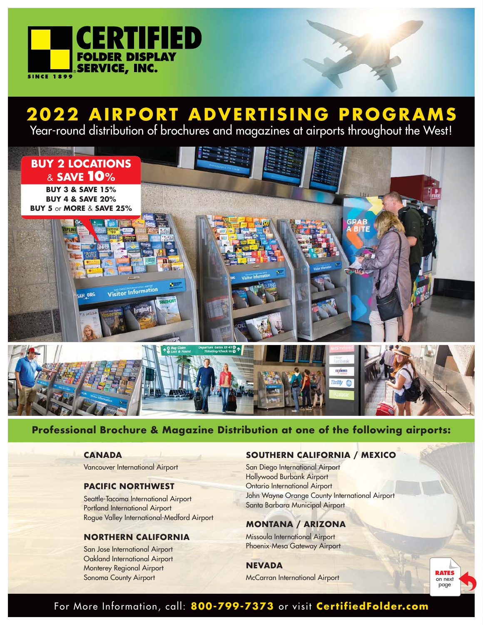

## **2022 AIRPORT ADVERTISING PROGRAMS**

Year-round distribution of brochures and magazines at airports throughout the West!



## **Professional Brochure & Magazine Distribution at one of the following airports:**

#### **CANADA**

Vancouver International Airport

#### **PACIFIC NORTHWEST**

Seattle-Tacoma International Airport Portland International Airport Rogue Valley International-Medford Airport

#### **NORTHERN CALIFORNIA**

San Jose International Airport Oakland International Airport Monterey Regional Airport Sonoma County Airport

## **SOUTHERN CALIFORNIA / MEXICO**

San Diego International Airport Hollywood Burbank Airport Ontario International Airport John Wayne Orange County International Airport Santa Barbara Municipal Airport

## **MONTANA / ARIZONA**

Missoula International Airport Phoenix-Mesa Gateway Airport

**NEVADA**

McCarran International Airport

**RATES** on next page

## For More Information, call: 800-799-7373 or visit CertifiedFolder.com